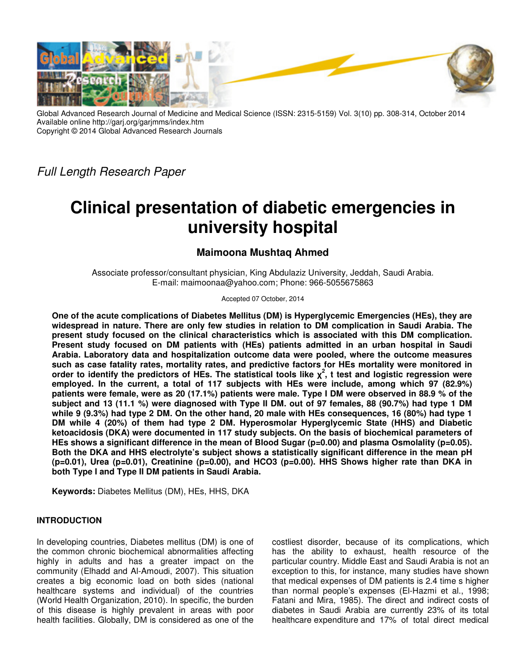

Global Advanced Research Journal of Medicine and Medical Science (ISSN: 2315-5159) Vol. 3(10) pp. 308-314, October 2014 Available online http://garj.org/garjmms/index.htm Copyright © 2014 Global Advanced Research Journals

Full Length Research Paper

# **Clinical presentation of diabetic emergencies in university hospital**

# **Maimoona Mushtaq Ahmed**

Associate professor/consultant physician, King Abdulaziz University, Jeddah, Saudi Arabia. E-mail: maimoonaa@yahoo.com; Phone: 966-5055675863

Accepted 07 October, 2014

**One of the acute complications of Diabetes Mellitus (DM) is Hyperglycemic Emergencies (HEs), they are widespread in nature. There are only few studies in relation to DM complication in Saudi Arabia. The present study focused on the clinical characteristics which is associated with this DM complication. Present study focused on DM patients with (HEs) patients admitted in an urban hospital in Saudi Arabia. Laboratory data and hospitalization outcome data were pooled, where the outcome measures such as case fatality rates, mortality rates, and predictive factors for HEs mortality were monitored in order to identify the predictors of HEs. The statistical tools like χ 2 , t test and logistic regression were employed. In the current, a total of 117 subjects with HEs were include, among which 97 (82.9%) patients were female, were as 20 (17.1%) patients were male. Type I DM were observed in 88.9 % of the subject and 13 (11.1 %) were diagnosed with Type II DM. out of 97 females, 88 (90.7%) had type 1 DM while 9 (9.3%) had type 2 DM. On the other hand, 20 male with HEs consequences, 16 (80%) had type 1 DM while 4 (20%) of them had type 2 DM. Hyperosmolar Hyperglycemic State (HHS) and Diabetic ketoacidosis (DKA) were documented in 117 study subjects. On the basis of biochemical parameters of HEs shows a significant difference in the mean of Blood Sugar (p=0.00) and plasma Osmolality (p=0.05). Both the DKA and HHS electrolyte's subject shows a statistically significant difference in the mean pH (p=0.01), Urea (p=0.01), Creatinine (p=0.00), and HCO3 (p=0.00). HHS Shows higher rate than DKA in both Type I and Type II DM patients in Saudi Arabia.** 

**Keywords:** Diabetes Mellitus (DM), HEs, HHS, DKA

# **INTRODUCTION**

In developing countries, Diabetes mellitus (DM) is one of the common chronic biochemical abnormalities affecting highly in adults and has a greater impact on the community (Elhadd and Al-Amoudi, 2007). This situation creates a big economic load on both sides (national healthcare systems and individual) of the countries (World Health Organization, 2010). In specific, the burden of this disease is highly prevalent in areas with poor health facilities. Globally, DM is considered as one of the

costliest disorder, because of its complications, which has the ability to exhaust, health resource of the particular country. Middle East and Saudi Arabia is not an exception to this, for instance, many studies have shown that medical expenses of DM patients is 2.4 time s higher than normal people's expenses (El-Hazmi et al., 1998; Fatani and Mira, 1985). The direct and indirect costs of diabetes in Saudi Arabia are currently 23% of its total healthcare expenditure and 17% of total direct medical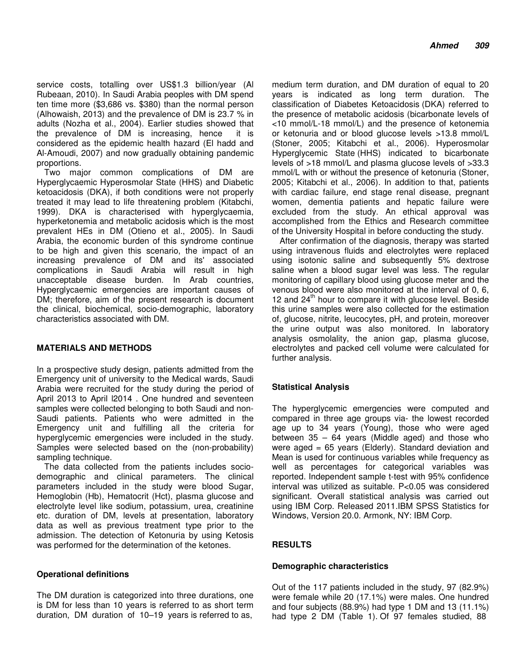service costs, totalling over US\$1.3 billion/year (Al Rubeaan, 2010). In Saudi Arabia peoples with DM spend ten time more (\$3,686 vs. \$380) than the normal person (Alhowaish, 2013) and the prevalence of DM is 23.7 % in adults (Nozha et al., 2004). Earlier studies showed that the prevalence of DM is increasing, hence it is considered as the epidemic health hazard (El hadd and Al-Amoudi, 2007) and now gradually obtaining pandemic proportions.

Two major common complications of DM are Hyperglycaemic Hyperosmolar State (HHS) and Diabetic ketoacidosis (DKA), if both conditions were not properly treated it may lead to life threatening problem (Kitabchi, 1999). DKA is characterised with hyperglycaemia, hyperketonemia and metabolic acidosis which is the most prevalent HEs in DM (Otieno et al., 2005). In Saudi Arabia, the economic burden of this syndrome continue to be high and given this scenario, the impact of an increasing prevalence of DM and its' associated complications in Saudi Arabia will result in high unacceptable disease burden. In Arab countries, Hyperglycaemic emergencies are important causes of DM; therefore, aim of the present research is document the clinical, biochemical, socio-demographic, laboratory characteristics associated with DM.

#### **MATERIALS AND METHODS**

In a prospective study design, patients admitted from the Emergency unit of university to the Medical wards, Saudi Arabia were recruited for the study during the period of April 2013 to April l2014 . One hundred and seventeen samples were collected belonging to both Saudi and non-Saudi patients. Patients who were admitted in the Emergency unit and fulfilling all the criteria for hyperglycemic emergencies were included in the study. Samples were selected based on the (non-probability) sampling technique.

The data collected from the patients includes sociodemographic and clinical parameters. The clinical parameters included in the study were blood Sugar, Hemoglobin (Hb), Hematocrit (Hct), plasma glucose and electrolyte level like sodium, potassium, urea, creatinine etc. duration of DM, levels at presentation, laboratory data as well as previous treatment type prior to the admission. The detection of Ketonuria by using Ketosis was performed for the determination of the ketones.

# **Operational definitions**

The DM duration is categorized into three durations, one is DM for less than 10 years is referred to as short term duration, DM duration of 10–19 years is referred to as,

medium term duration, and DM duration of equal to 20 years is indicated as long term duration. The classification of Diabetes Ketoacidosis (DKA) referred to the presence of metabolic acidosis (bicarbonate levels of <10 mmol/L-18 mmol/L) and the presence of ketonemia or ketonuria and or blood glucose levels >13.8 mmol/L (Stoner, 2005; Kitabchi et al., 2006). Hyperosmolar Hyperglycemic State (HHS) indicated to bicarbonate levels of >18 mmol/L and plasma glucose levels of >33.3 mmol/L with or without the presence of ketonuria (Stoner, 2005; Kitabchi et al., 2006). In addition to that, patients with cardiac failure, end stage renal disease, pregnant women, dementia patients and hepatic failure were excluded from the study. An ethical approval was accomplished from the Ethics and Research committee of the University Hospital in before conducting the study.

After confirmation of the diagnosis, therapy was started using intravenous fluids and electrolytes were replaced using isotonic saline and subsequently 5% dextrose saline when a blood sugar level was less. The regular monitoring of capillary blood using glucose meter and the venous blood were also monitored at the interval of 0, 6, 12 and  $24<sup>th</sup>$  hour to compare it with glucose level. Beside this urine samples were also collected for the estimation of, glucose, nitrite, leucocytes, pH, and protein, moreover the urine output was also monitored. In laboratory analysis osmolality, the anion gap, plasma glucose, electrolytes and packed cell volume were calculated for further analysis.

# **Statistical Analysis**

The hyperglycemic emergencies were computed and compared in three age groups via- the lowest recorded age up to 34 years (Young), those who were aged between 35 – 64 years (Middle aged) and those who were aged  $= 65$  years (Elderly). Standard deviation and Mean is used for continuous variables while frequency as well as percentages for categorical variables was reported. Independent sample t-test with 95% confidence interval was utilized as suitable. P<0.05 was considered significant. Overall statistical analysis was carried out using IBM Corp. Released 2011.IBM SPSS Statistics for Windows, Version 20.0. Armonk, NY: IBM Corp.

# **RESULTS**

#### **Demographic characteristics**

Out of the 117 patients included in the study, 97 (82.9%) were female while 20 (17.1%) were males. One hundred and four subjects (88.9%) had type 1 DM and 13 (11.1%) had type 2 DM (Table 1). Of 97 females studied, 88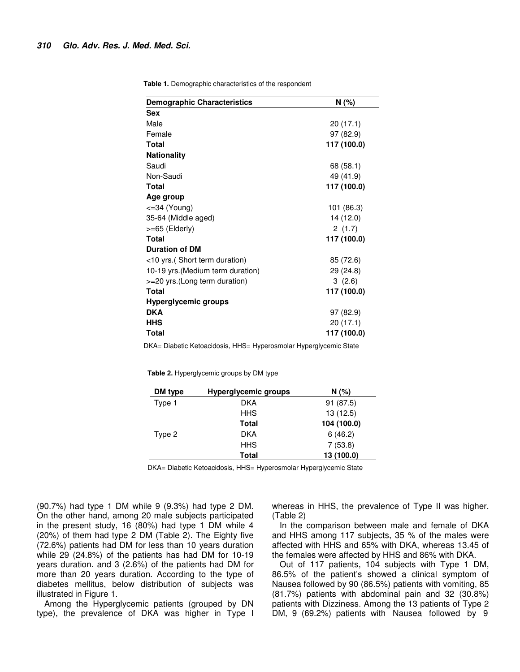**Table 1.** Demographic characteristics of the respondent

| <b>Demographic Characteristics</b> | N (%)       |  |
|------------------------------------|-------------|--|
| <b>Sex</b>                         |             |  |
| Male                               | 20(17.1)    |  |
| Female                             | 97 (82.9)   |  |
| <b>Total</b>                       | 117 (100.0) |  |
| <b>Nationality</b>                 |             |  |
| Saudi                              | 68 (58.1)   |  |
| Non-Saudi                          | 49 (41.9)   |  |
| Total                              | 117 (100.0) |  |
| Age group                          |             |  |
| $\epsilon = 34$ (Young)            | 101 (86.3)  |  |
| 35-64 (Middle aged)                | 14 (12.0)   |  |
| >=65 (Elderly)                     | 2(1.7)      |  |
| <b>Total</b>                       | 117 (100.0) |  |
| <b>Duration of DM</b>              |             |  |
| <10 yrs. (Short term duration)     | 85 (72.6)   |  |
| 10-19 yrs. (Medium term duration)  | 29 (24.8)   |  |
| >=20 yrs. (Long term duration)     | 3(2.6)      |  |
| Total                              | 117 (100.0) |  |
| Hyperglycemic groups               |             |  |
| <b>DKA</b>                         | 97 (82.9)   |  |
| <b>HHS</b>                         | 20 (17.1)   |  |
| Total                              | 117 (100.0) |  |

DKA= Diabetic Ketoacidosis, HHS= Hyperosmolar Hyperglycemic State

**Table 2.** Hyperglycemic groups by DM type

| DM type | Hyperglycemic groups | $N(\%)$     |
|---------|----------------------|-------------|
| Type 1  | <b>DKA</b>           | 91 (87.5)   |
|         | <b>HHS</b>           | 13(12.5)    |
|         | <b>Total</b>         | 104 (100.0) |
| Type 2  | <b>DKA</b>           | 6(46.2)     |
|         | <b>HHS</b>           | 7(53.8)     |
|         | Total                | 13 (100.0)  |

DKA= Diabetic Ketoacidosis, HHS= Hyperosmolar Hyperglycemic State

(90.7%) had type 1 DM while 9 (9.3%) had type 2 DM. On the other hand, among 20 male subjects participated in the present study, 16 (80%) had type 1 DM while 4 (20%) of them had type 2 DM (Table 2). The Eighty five (72.6%) patients had DM for less than 10 years duration while 29 (24.8%) of the patients has had DM for 10-19 years duration. and 3 (2.6%) of the patients had DM for more than 20 years duration. According to the type of diabetes mellitus, below distribution of subjects was illustrated in Figure 1.

Among the Hyperglycemic patients (grouped by DN type), the prevalence of DKA was higher in Type I whereas in HHS, the prevalence of Type II was higher. (Table 2)

In the comparison between male and female of DKA and HHS among 117 subjects, 35 % of the males were affected with HHS and 65% with DKA, whereas 13.45 of the females were affected by HHS and 86% with DKA.

Out of 117 patients, 104 subjects with Type 1 DM, 86.5% of the patient's showed a clinical symptom of Nausea followed by 90 (86.5%) patients with vomiting, 85 (81.7%) patients with abdominal pain and 32 (30.8%) patients with Dizziness. Among the 13 patients of Type 2 DM, 9 (69.2%) patients with Nausea followed by 9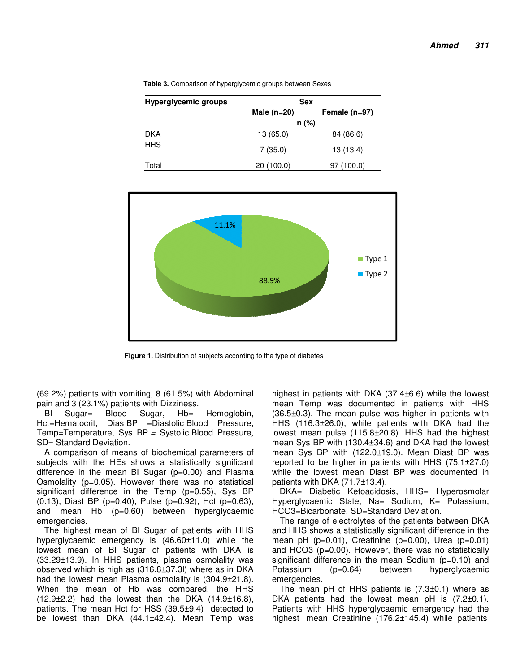| <b>Hyperglycemic groups</b> | <b>Sex</b>    |                 |  |
|-----------------------------|---------------|-----------------|--|
|                             | Male $(n=20)$ | Female $(n=97)$ |  |
|                             | $n$ (%)       |                 |  |
| <b>DKA</b>                  | 13 (65.0)     | 84 (86.6)       |  |
| <b>HHS</b>                  | 7(35.0)       | 13 (13.4)       |  |
| Total                       | 20 (100.0)    | 97 (100.0)      |  |

**Table 3.** Comparison of hyperglycemic groups between Sexes



**Figure 1.** Distribution of subjects according to the type of diabetes

(69.2%) patients with vomiting, 8 (61.5%) with Abdominal pain and 3 (23.1%) patients with Dizziness.

BI Sugar= Blood Sugar, Hb= Hemoglobin, Hct=Hematocrit, Dias BP =Diastolic Blood Pressure, Temp=Temperature, Sys BP = Systolic Blood Pressure, SD= Standard Deviation.

A comparison of means of biochemical parameters of subjects with the HEs shows a statistically significant difference in the mean BI Sugar (p=0.00) and Plasma Osmolality (p=0.05). However there was no statistical significant difference in the Temp (p=0.55), Sys BP (0.13), Diast BP (p=0.40), Pulse (p=0.92), Hct (p=0.63), and mean Hb (p=0.60) between hyperglycaemic emergencies.

The highest mean of BI Sugar of patients with HHS hyperglycaemic emergency is (46.60±11.0) while the lowest mean of BI Sugar of patients with DKA is (33.29±13.9). In HHS patients, plasma osmolality was observed which is high as (316.8±37.3l) where as in DKA had the lowest mean Plasma osmolality is (304.9±21.8). When the mean of Hb was compared, the HHS  $(12.9 \pm 2.2)$  had the lowest than the DKA  $(14.9 \pm 16.8)$ , patients. The mean Hct for HSS (39.5±9.4) detected to be lowest than DKA (44.1±42.4). Mean Temp was

highest in patients with DKA (37.4±6.6) while the lowest mean Temp was documented in patients with HHS (36.5±0.3). The mean pulse was higher in patients with HHS (116.3±26.0), while patients with DKA had the lowest mean pulse (115.8±20.8). HHS had the highest mean Sys BP with (130.4±34.6) and DKA had the lowest mean Sys BP with (122.0±19.0). Mean Diast BP was reported to be higher in patients with HHS (75.1±27.0) while the lowest mean Diast BP was documented in patients with DKA (71.7±13.4).

DKA= Diabetic Ketoacidosis, HHS= Hyperosmolar Hyperglycaemic State, Na= Sodium, K= Potassium, HCO3=Bicarbonate, SD=Standard Deviation.

The range of electrolytes of the patients between DKA and HHS shows a statistically significant difference in the mean pH  $(p=0.01)$ , Creatinine  $(p=0.00)$ , Urea  $(p=0.01)$ and HCO3 (p=0.00). However, there was no statistically significant difference in the mean Sodium (p=0.10) and Potassium (p=0.64) between hyperglycaemic emergencies.

The mean pH of HHS patients is (7.3±0.1) where as DKA patients had the lowest mean pH is (7.2±0.1). Patients with HHS hyperglycaemic emergency had the highest mean Creatinine (176.2±145.4) while patients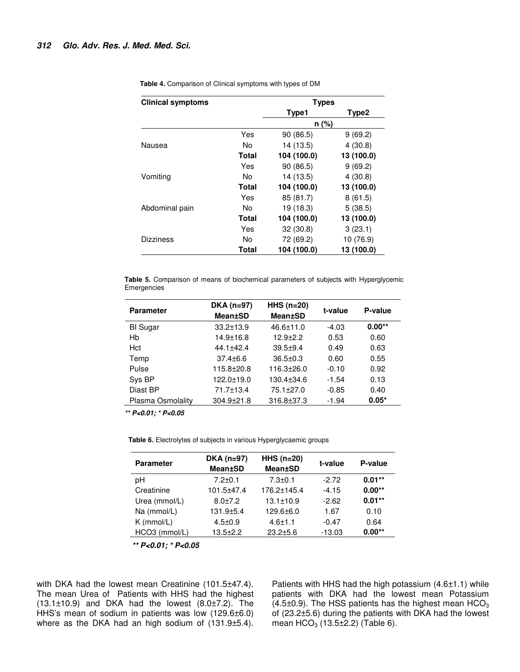| <b>Clinical symptoms</b> |       | <b>Types</b> |                   |
|--------------------------|-------|--------------|-------------------|
|                          |       | Type1        | Type <sub>2</sub> |
|                          |       | $n (\%)$     |                   |
|                          | Yes   | 90(86.5)     | 9(69.2)           |
| Nausea                   | No    | 14 (13.5)    | 4(30.8)           |
|                          | Total | 104 (100.0)  | 13 (100.0)        |
|                          | Yes   | 90(86.5)     | 9(69.2)           |
| Vomiting                 | No    | 14 (13.5)    | 4(30.8)           |
|                          | Total | 104 (100.0)  | 13 (100.0)        |
|                          | Yes   | 85 (81.7)    | 8(61.5)           |
| Abdominal pain           | N٥    | 19 (18.3)    | 5(38.5)           |
|                          | Total | 104 (100.0)  | 13 (100.0)        |
|                          | Yes   | 32(30.8)     | 3(23.1)           |
| <b>Dizziness</b>         | No    | 72 (69.2)    | 10 (76.9)         |
|                          | Total | 104 (100.0)  | 13 (100.0)        |

**Table 4.** Comparison of Clinical symptoms with types of DM

**Table 5.** Comparison of means of biochemical parameters of subjects with Hyperglycemic Emergencies

| <b>Parameter</b>  | $DKA$ (n=97)<br><b>Mean±SD</b> | $HHS$ (n=20)<br><b>Mean±SD</b> | t-value | P-value  |
|-------------------|--------------------------------|--------------------------------|---------|----------|
| <b>BI</b> Sugar   | $33.2 \pm 13.9$                | $46.6 \pm 11.0$                | $-4.03$ | $0.00**$ |
| Hb                | $14.9 \pm 16.8$                | $12.9 + 2.2$                   | 0.53    | 0.60     |
| Hct               | $44.1 + 42.4$                  | $39.5 + 9.4$                   | 0.49    | 0.63     |
| Temp              | $37.4 \pm 6.6$                 | $36.5 \pm 0.3$                 | 0.60    | 0.55     |
| Pulse             | 115.8+20.8                     | $116.3 \pm 26.0$               | $-0.10$ | 0.92     |
| Sys BP            | 122.0±19.0                     | $130.4 \pm 34.6$               | $-1.54$ | 0.13     |
| Diast BP          | 71.7±13.4                      | $75.1 \pm 27.0$                | $-0.85$ | 0.40     |
| Plasma Osmolality | $304.9 \pm 21.8$               | 316.8±37.3                     | $-1.94$ | $0.05*$  |

**\*\* P<0.01; \* P<0.05**

**Table 6.** Electrolytes of subjects in various Hyperglycaemic groups

| <b>Parameter</b> | $DKA$ (n=97)<br><b>Mean±SD</b> | $HHS$ (n=20)<br><b>Mean±SD</b> | t-value  | P-value   |
|------------------|--------------------------------|--------------------------------|----------|-----------|
| рH               | $7.2 \pm 0.1$                  | $7.3 + 0.1$                    | $-2.72$  | $0.01**$  |
| Creatinine       | 101.5±47.4                     | 176.2±145.4                    | $-4.15$  | $0.00**$  |
| Urea (mmol/L)    | $8.0 + 7.2$                    | $13.1 \pm 10.9$                | $-2.62$  | $0.01***$ |
| Na (mmol/L)      | $131.9 + 5.4$                  | 129.6±6.0                      | 1.67     | 0.10      |
| $K$ (mmol/L)     | $4.5 \pm 0.9$                  | $4.6 + 1.1$                    | $-0.47$  | 0.64      |
| $HCO3$ (mmol/L)  | $13.5 \pm 2.2$                 | $23.2 + 5.6$                   | $-13.03$ | $0.00**$  |

**\*\* P<0.01; \* P<0.05**

with DKA had the lowest mean Creatinine (101.5±47.4). The mean Urea of Patients with HHS had the highest  $(13.1\pm10.9)$  and DKA had the lowest  $(8.0\pm7.2)$ . The HHS's mean of sodium in patients was low (129.6±6.0) where as the DKA had an high sodium of (131.9±5.4).

Patients with HHS had the high potassium (4.6±1.1) while patients with DKA had the lowest mean Potassium  $(4.5\pm0.9)$ . The HSS patients has the highest mean HCO<sub>3</sub> of (23.2±5.6) during the patients with DKA had the lowest mean  $HCO<sub>3</sub>$  (13.5 $\pm$ 2.2) (Table 6).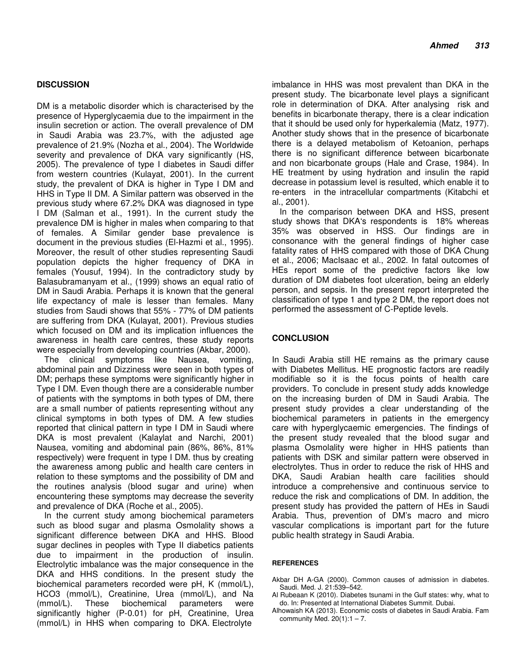#### **DISCUSSION**

DM is a metabolic disorder which is characterised by the presence of Hyperglycaemia due to the impairment in the insulin secretion or action. The overall prevalence of DM in Saudi Arabia was 23.7%, with the adjusted age prevalence of 21.9% (Nozha et al., 2004). The Worldwide severity and prevalence of DKA vary significantly (HS, 2005). The prevalence of type I diabetes in Saudi differ from western countries (Kulayat, 2001). In the current study, the prevalent of DKA is higher in Type I DM and HHS in Type II DM. A Similar pattern was observed in the previous study where 67.2% DKA was diagnosed in type I DM (Salman et al., 1991). In the current study the prevalence DM is higher in males when comparing to that of females. A Similar gender base prevalence is document in the previous studies (El-Hazmi et al., 1995). Moreover, the result of other studies representing Saudi population depicts the higher frequency of DKA in females (Yousuf, 1994). In the contradictory study by Balasubramanyam et al., (1999) shows an equal ratio of DM in Saudi Arabia. Perhaps it is known that the general life expectancy of male is lesser than females. Many studies from Saudi shows that 55% - 77% of DM patients are suffering from DKA (Kulayat, 2001). Previous studies which focused on DM and its implication influences the awareness in health care centres, these study reports were especially from developing countries (Akbar, 2000).

The clinical symptoms like Nausea, vomiting, abdominal pain and Dizziness were seen in both types of DM; perhaps these symptoms were significantly higher in Type I DM. Even though there are a considerable number of patients with the symptoms in both types of DM, there are a small number of patients representing without any clinical symptoms in both types of DM. A few studies reported that clinical pattern in type I DM in Saudi where DKA is most prevalent (Kalaylat and Narchi, 2001) Nausea, vomiting and abdominal pain (86%, 86%, 81% respectively) were frequent in type I DM. thus by creating the awareness among public and health care centers in relation to these symptoms and the possibility of DM and the routines analysis (blood sugar and urine) when encountering these symptoms may decrease the severity and prevalence of DKA (Roche et al., 2005).

In the current study among biochemical parameters such as blood sugar and plasma Osmolality shows a significant difference between DKA and HHS. Blood sugar declines in peoples with Type II diabetics patients due to impairment in the production of insulin. Electrolytic imbalance was the major consequence in the DKA and HHS conditions. In the present study the biochemical parameters recorded were pH, K (mmol/L), HCO3 (mmol/L), Creatinine, Urea (mmol/L), and Na (mmol/L). These biochemical parameters were significantly higher (P-0.01) for pH, Creatinine, Urea (mmol/L) in HHS when comparing to DKA. Electrolyte

imbalance in HHS was most prevalent than DKA in the present study. The bicarbonate level plays a significant role in determination of DKA. After analysing risk and benefits in bicarbonate therapy, there is a clear indication that it should be used only for hyperkalemia (Matz, 1977). Another study shows that in the presence of bicarbonate there is a delayed metabolism of Ketoanion, perhaps there is no significant difference between bicarbonate and non bicarbonate groups (Hale and Crase, 1984). In HE treatment by using hydration and insulin the rapid decrease in potassium level is resulted, which enable it to re-enters in the intracellular compartments (Kitabchi et al., 2001).

In the comparison between DKA and HSS, present study shows that DKA's respondents is 18% whereas 35% was observed in HSS. Our findings are in consonance with the general findings of higher case fatality rates of HHS compared with those of DKA Chung et al., 2006; MacIsaac et al., 2002. In fatal outcomes of HEs report some of the predictive factors like low duration of DM diabetes foot ulceration, being an elderly person, and sepsis. In the present report interpreted the classification of type 1 and type 2 DM, the report does not performed the assessment of C-Peptide levels.

# **CONCLUSION**

In Saudi Arabia still HE remains as the primary cause with Diabetes Mellitus. HE prognostic factors are readily modifiable so it is the focus points of health care providers. To conclude in present study adds knowledge on the increasing burden of DM in Saudi Arabia. The present study provides a clear understanding of the biochemical parameters in patients in the emergency care with hyperglycaemic emergencies. The findings of the present study revealed that the blood sugar and plasma Osmolality were higher in HHS patients than patients with DSK and similar pattern were observed in electrolytes. Thus in order to reduce the risk of HHS and DKA, Saudi Arabian health care facilities should introduce a comprehensive and continuous service to reduce the risk and complications of DM. In addition, the present study has provided the pattern of HEs in Saudi Arabia. Thus, prevention of DM's macro and micro vascular complications is important part for the future public health strategy in Saudi Arabia.

#### **REFERENCES**

- Akbar DH A-GA (2000). Common causes of admission in diabetes. Saudi. Med. J. 21:539–542.
- Al Rubeaan K (2010). Diabetes tsunami in the Gulf states: why, what to do. In: Presented at International Diabetes Summit. Dubai.
- Alhowaish KA (2013). Economic costs of diabetes in Saudi Arabia. Fam community Med.  $20(1):1 - 7$ .